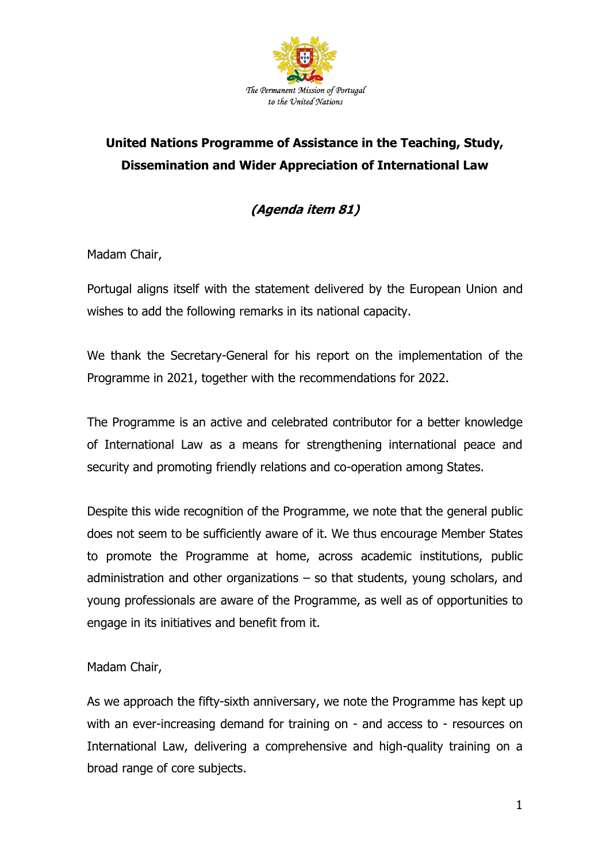

## **United Nations Programme of Assistance in the Teaching, Study, Dissemination and Wider Appreciation of International Law**

**(Agenda item 81)**

Madam Chair,

Portugal aligns itself with the statement delivered by the European Union and wishes to add the following remarks in its national capacity.

We thank the Secretary-General for his report on the implementation of the Programme in 2021, together with the recommendations for 2022.

The Programme is an active and celebrated contributor for a better knowledge of International Law as a means for strengthening international peace and security and promoting friendly relations and co-operation among States.

Despite this wide recognition of the Programme, we note that the general public does not seem to be sufficiently aware of it. We thus encourage Member States to promote the Programme at home, across academic institutions, public administration and other organizations – so that students, young scholars, and young professionals are aware of the Programme, as well as of opportunities to engage in its initiatives and benefit from it.

Madam Chair,

As we approach the fifty-sixth anniversary, we note the Programme has kept up with an ever-increasing demand for training on - and access to - resources on International Law, delivering a comprehensive and high-quality training on a broad range of core subjects.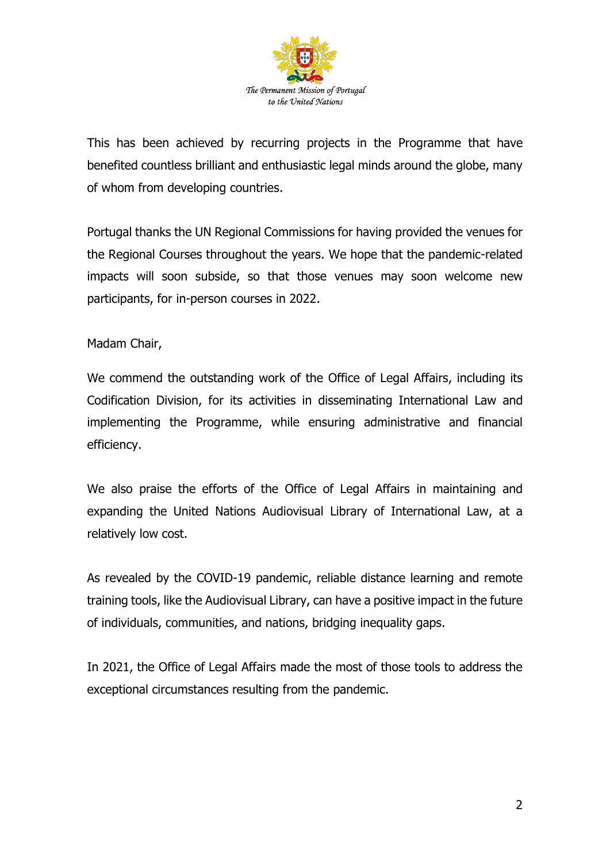

This has been achieved by recurring projects in the Programme that have benefited countless brilliant and enthusiastic legal minds around the globe, many of whom from developing countries.

Portugal thanks the UN Regional Commissions for having provided the venues for the Regional Courses throughout the years. We hope that the pandemic-related impacts will soon subside, so that those venues may soon welcome new participants, for in-person courses in 2022.

## Madam Chair,

We commend the outstanding work of the Office of Legal Affairs, including its Codification Division, for its activities in disseminating International Law and implementing the Programme, while ensuring administrative and financial efficiency.

We also praise the efforts of the Office of Legal Affairs in maintaining and expanding the United Nations Audiovisual Library of International Law, at a relatively low cost.

As revealed by the COVID-19 pandemic, reliable distance learning and remote training tools, like the Audiovisual Library, can have a positive impact in the future of individuals, communities, and nations, bridging inequality gaps.

In 2021, the Office of Legal Affairs made the most of those tools to address the exceptional circumstances resulting from the pandemic.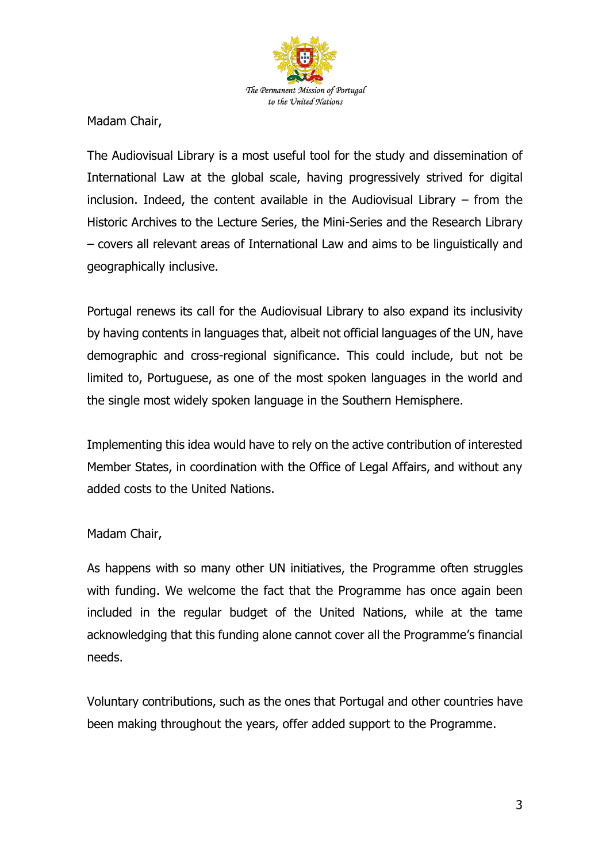

Madam Chair,

The Audiovisual Library is a most useful tool for the study and dissemination of International Law at the global scale, having progressively strived for digital inclusion. Indeed, the content available in the Audiovisual Library – from the Historic Archives to the Lecture Series, the Mini-Series and the Research Library – covers all relevant areas of International Law and aims to be linguistically and geographically inclusive.

Portugal renews its call for the Audiovisual Library to also expand its inclusivity by having contents in languages that, albeit not official languages of the UN, have demographic and cross-regional significance. This could include, but not be limited to, Portuguese, as one of the most spoken languages in the world and the single most widely spoken language in the Southern Hemisphere.

Implementing this idea would have to rely on the active contribution of interested Member States, in coordination with the Office of Legal Affairs, and without any added costs to the United Nations.

## Madam Chair,

As happens with so many other UN initiatives, the Programme often struggles with funding. We welcome the fact that the Programme has once again been included in the regular budget of the United Nations, while at the tame acknowledging that this funding alone cannot cover all the Programme's financial needs.

Voluntary contributions, such as the ones that Portugal and other countries have been making throughout the years, offer added support to the Programme.